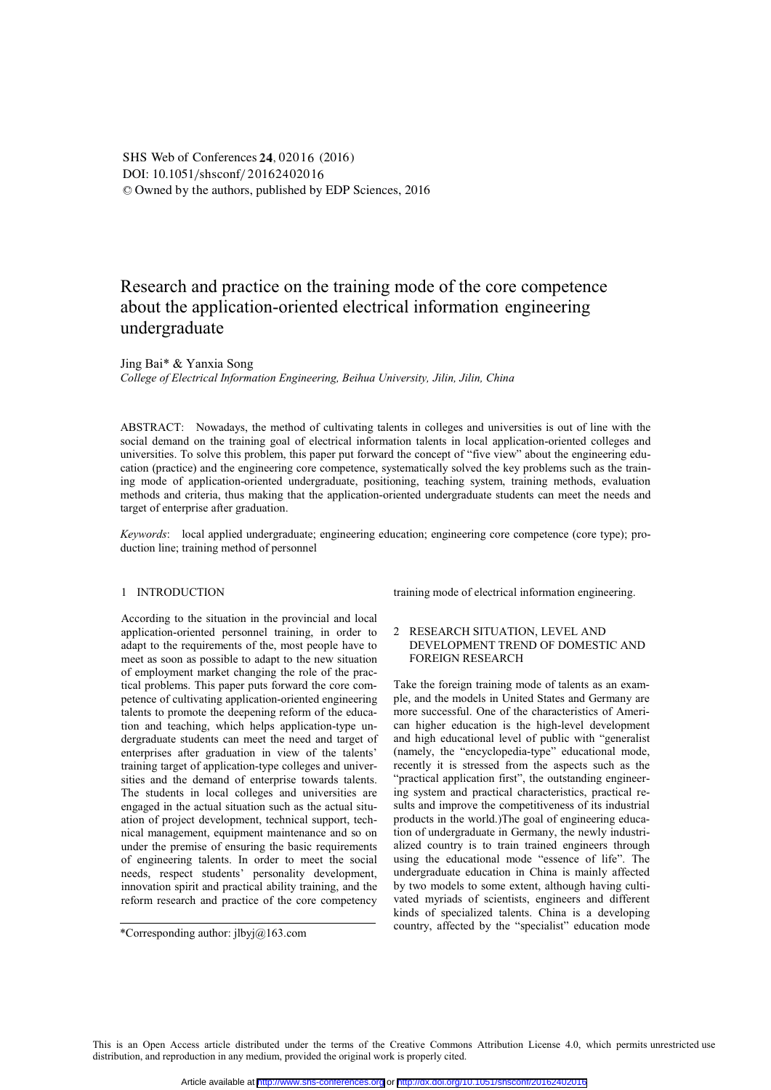DOI: 10.1051/shsconf/20162402016 © Owned by the authors, published by EDP Sciences, 2016 SHS Web of Conferences 24, 02016 (2016)

# Research and practice on the training mode of the core competence about the application-oriented electrical information engineering undergraduate

Jing Bai\* & Yanxia Song

*College of Electrical Information Engineering, Beihua University, Jilin, Jilin, China* 

ABSTRACT: Nowadays, the method of cultivating talents in colleges and universities is out of line with the social demand on the training goal of electrical information talents in local application-oriented colleges and universities. To solve this problem, this paper put forward the concept of "five view" about the engineering education (practice) and the engineering core competence, systematically solved the key problems such as the training mode of application-oriented undergraduate, positioning, teaching system, training methods, evaluation methods and criteria, thus making that the application-oriented undergraduate students can meet the needs and target of enterprise after graduation.

*Keywords*: local applied undergraduate; engineering education; engineering core competence (core type); production line; training method of personnel

# 1 INTRODUCTION

According to the situation in the provincial and local application-oriented personnel training, in order to adapt to the requirements of the, most people have to meet as soon as possible to adapt to the new situation of employment market changing the role of the practical problems. This paper puts forward the core competence of cultivating application-oriented engineering talents to promote the deepening reform of the education and teaching, which helps application-type undergraduate students can meet the need and target of enterprises after graduation in view of the talents' training target of application-type colleges and universities and the demand of enterprise towards talents. The students in local colleges and universities are engaged in the actual situation such as the actual situation of project development, technical support, technical management, equipment maintenance and so on under the premise of ensuring the basic requirements of engineering talents. In order to meet the social needs, respect students' personality development, innovation spirit and practical ability training, and the reform research and practice of the core competency

\*Corresponding author:  $ilbyj@$ 163.com

training mode of electrical information engineering.

# 2 RESEARCH SITUATION, LEVEL AND DEVELOPMENT TREND OF DOMESTIC AND FOREIGN RESEARCH

Take the foreign training mode of talents as an example, and the models in United States and Germany are more successful. One of the characteristics of American higher education is the high-level development and high educational level of public with "generalist (namely, the "encyclopedia-type" educational mode, recently it is stressed from the aspects such as the "practical application first", the outstanding engineering system and practical characteristics, practical results and improve the competitiveness of its industrial products in the world.)The goal of engineering education of undergraduate in Germany, the newly industrialized country is to train trained engineers through using the educational mode "essence of life". The undergraduate education in China is mainly affected by two models to some extent, although having cultivated myriads of scientists, engineers and different kinds of specialized talents. China is a developing country, affected by the "specialist" education mode

This is an Open Access article distributed under the terms of the Creative Commons Attribution License 4.0, which permits unrestricted use distribution, and reproduction in any medium, provided the original work is properly cited.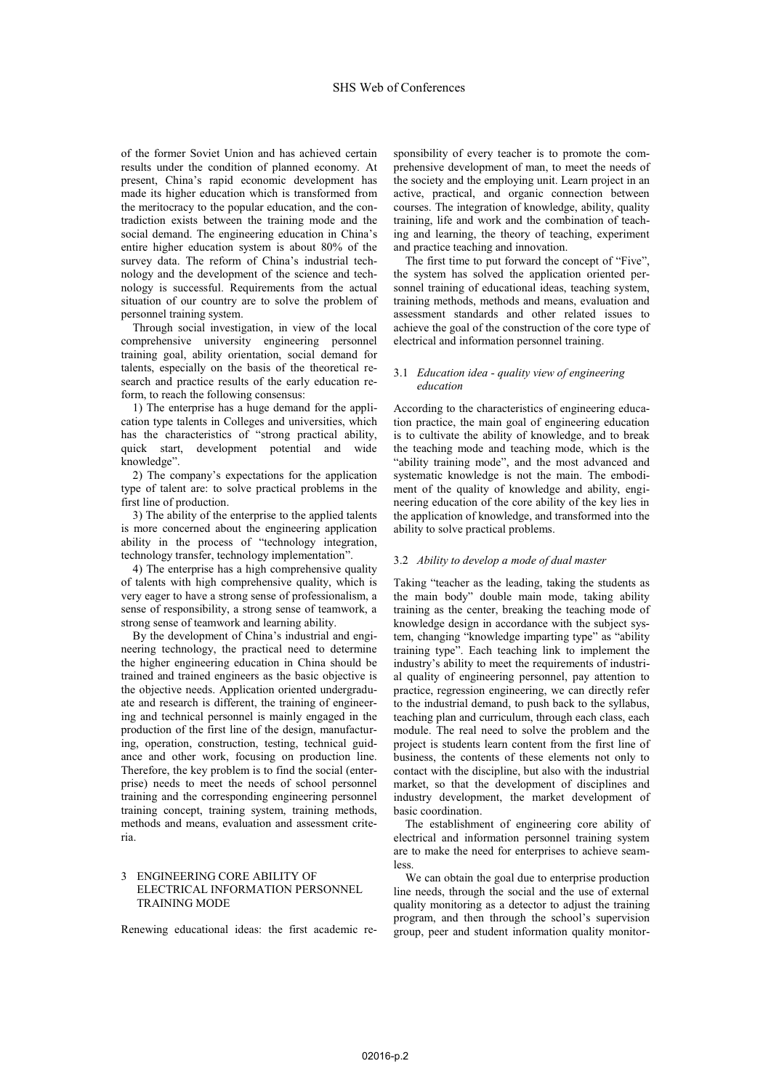of the former Soviet Union and has achieved certain results under the condition of planned economy. At present, China's rapid economic development has made its higher education which is transformed from the meritocracy to the popular education, and the contradiction exists between the training mode and the social demand. The engineering education in China's entire higher education system is about 80% of the survey data. The reform of China's industrial technology and the development of the science and technology is successful. Requirements from the actual situation of our country are to solve the problem of personnel training system.

Through social investigation, in view of the local comprehensive university engineering personnel training goal, ability orientation, social demand for talents, especially on the basis of the theoretical research and practice results of the early education reform, to reach the following consensus:

1) The enterprise has a huge demand for the application type talents in Colleges and universities, which has the characteristics of "strong practical ability, quick start, development potential and wide knowledge".

2) The company's expectations for the application type of talent are: to solve practical problems in the first line of production.

3) The ability of the enterprise to the applied talents is more concerned about the engineering application ability in the process of "technology integration, technology transfer, technology implementation".

4) The enterprise has a high comprehensive quality of talents with high comprehensive quality, which is very eager to have a strong sense of professionalism, a sense of responsibility, a strong sense of teamwork, a strong sense of teamwork and learning ability.

By the development of China's industrial and engineering technology, the practical need to determine the higher engineering education in China should be trained and trained engineers as the basic objective is the objective needs. Application oriented undergraduate and research is different, the training of engineering and technical personnel is mainly engaged in the production of the first line of the design, manufacturing, operation, construction, testing, technical guidance and other work, focusing on production line. Therefore, the key problem is to find the social (enterprise) needs to meet the needs of school personnel training and the corresponding engineering personnel training concept, training system, training methods, methods and means, evaluation and assessment criteria.

# 3 ENGINEERING CORE ABILITY OF ELECTRICAL INFORMATION PERSONNEL TRAINING MODE

Renewing educational ideas: the first academic re-

sponsibility of every teacher is to promote the comprehensive development of man, to meet the needs of the society and the employing unit. Learn project in an active, practical, and organic connection between courses. The integration of knowledge, ability, quality training, life and work and the combination of teaching and learning, the theory of teaching, experiment and practice teaching and innovation.

The first time to put forward the concept of "Five", the system has solved the application oriented personnel training of educational ideas, teaching system, training methods, methods and means, evaluation and assessment standards and other related issues to achieve the goal of the construction of the core type of electrical and information personnel training.

# 3.1 *Education idea - quality view of engineering education*

According to the characteristics of engineering education practice, the main goal of engineering education is to cultivate the ability of knowledge, and to break the teaching mode and teaching mode, which is the "ability training mode", and the most advanced and systematic knowledge is not the main. The embodiment of the quality of knowledge and ability, engineering education of the core ability of the key lies in the application of knowledge, and transformed into the ability to solve practical problems.

# 3.2 *Ability to develop a mode of dual master*

Taking "teacher as the leading, taking the students as the main body" double main mode, taking ability training as the center, breaking the teaching mode of knowledge design in accordance with the subject system, changing "knowledge imparting type" as "ability training type". Each teaching link to implement the industry's ability to meet the requirements of industrial quality of engineering personnel, pay attention to practice, regression engineering, we can directly refer to the industrial demand, to push back to the syllabus, teaching plan and curriculum, through each class, each module. The real need to solve the problem and the project is students learn content from the first line of business, the contents of these elements not only to contact with the discipline, but also with the industrial market, so that the development of disciplines and industry development, the market development of basic coordination.

The establishment of engineering core ability of electrical and information personnel training system are to make the need for enterprises to achieve seamless.

We can obtain the goal due to enterprise production line needs, through the social and the use of external quality monitoring as a detector to adjust the training program, and then through the school's supervision group, peer and student information quality monitor-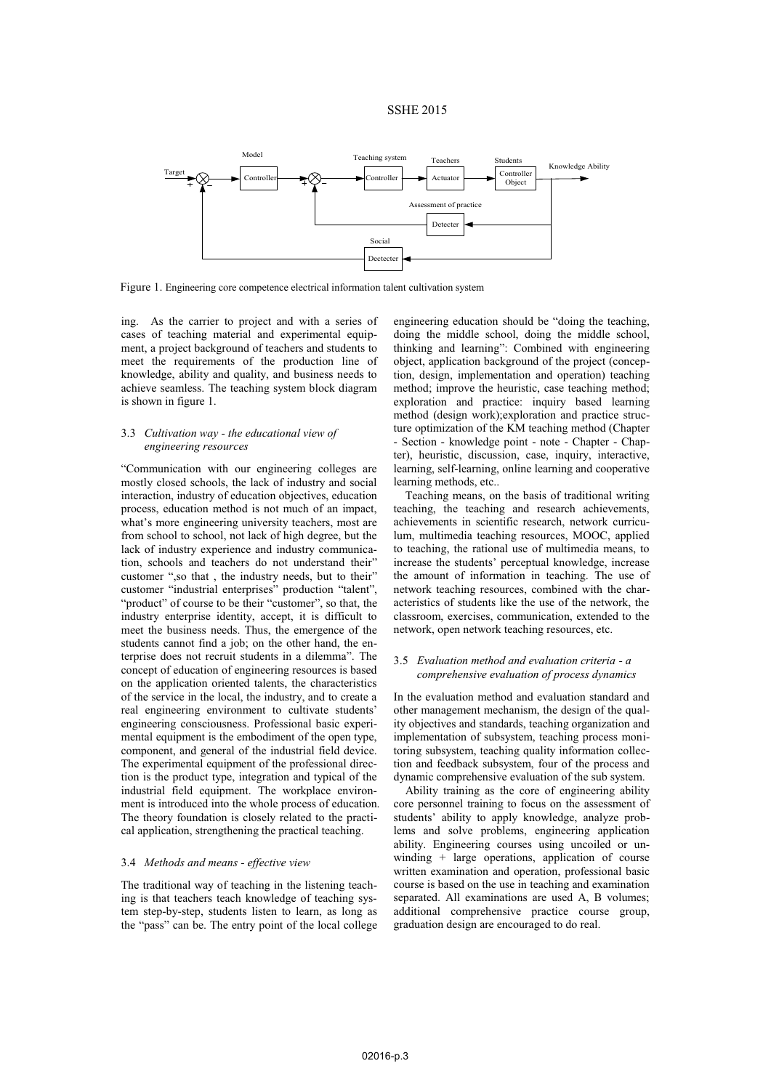# SSHE 2015



Figure 1. Engineering core competence electrical information talent cultivation system

ing. As the carrier to project and with a series of cases of teaching material and experimental equipment, a project background of teachers and students to meet the requirements of the production line of knowledge, ability and quality, and business needs to achieve seamless. The teaching system block diagram is shown in figure 1.

# 3.3 *Cultivation way - the educational view of engineering resources*

"Communication with our engineering colleges are mostly closed schools, the lack of industry and social interaction, industry of education objectives, education process, education method is not much of an impact, what's more engineering university teachers, most are from school to school, not lack of high degree, but the lack of industry experience and industry communication, schools and teachers do not understand their" customer ",so that , the industry needs, but to their" customer "industrial enterprises" production "talent", "product" of course to be their "customer", so that, the industry enterprise identity, accept, it is difficult to meet the business needs. Thus, the emergence of the students cannot find a job; on the other hand, the enterprise does not recruit students in a dilemma". The concept of education of engineering resources is based on the application oriented talents, the characteristics of the service in the local, the industry, and to create a real engineering environment to cultivate students' engineering consciousness. Professional basic experimental equipment is the embodiment of the open type, component, and general of the industrial field device. The experimental equipment of the professional direction is the product type, integration and typical of the industrial field equipment. The workplace environment is introduced into the whole process of education. The theory foundation is closely related to the practical application, strengthening the practical teaching.

# 3.4 *Methods and means - effective view*

The traditional way of teaching in the listening teaching is that teachers teach knowledge of teaching system step-by-step, students listen to learn, as long as the "pass" can be. The entry point of the local college engineering education should be "doing the teaching, doing the middle school, doing the middle school, thinking and learning": Combined with engineering object, application background of the project (conception, design, implementation and operation) teaching method; improve the heuristic, case teaching method; exploration and practice: inquiry based learning method (design work);exploration and practice structure optimization of the KM teaching method (Chapter - Section - knowledge point - note - Chapter - Chapter), heuristic, discussion, case, inquiry, interactive, learning, self-learning, online learning and cooperative learning methods, etc..

Teaching means, on the basis of traditional writing teaching, the teaching and research achievements, achievements in scientific research, network curriculum, multimedia teaching resources, MOOC, applied to teaching, the rational use of multimedia means, to increase the students' perceptual knowledge, increase the amount of information in teaching. The use of network teaching resources, combined with the characteristics of students like the use of the network, the classroom, exercises, communication, extended to the network, open network teaching resources, etc.

#### 3.5 *Evaluation method and evaluation criteria - a comprehensive evaluation of process dynamics*

In the evaluation method and evaluation standard and other management mechanism, the design of the quality objectives and standards, teaching organization and implementation of subsystem, teaching process monitoring subsystem, teaching quality information collection and feedback subsystem, four of the process and dynamic comprehensive evaluation of the sub system.

Ability training as the core of engineering ability core personnel training to focus on the assessment of students' ability to apply knowledge, analyze problems and solve problems, engineering application ability. Engineering courses using uncoiled or unwinding + large operations, application of course written examination and operation, professional basic course is based on the use in teaching and examination separated. All examinations are used A, B volumes; additional comprehensive practice course group, graduation design are encouraged to do real.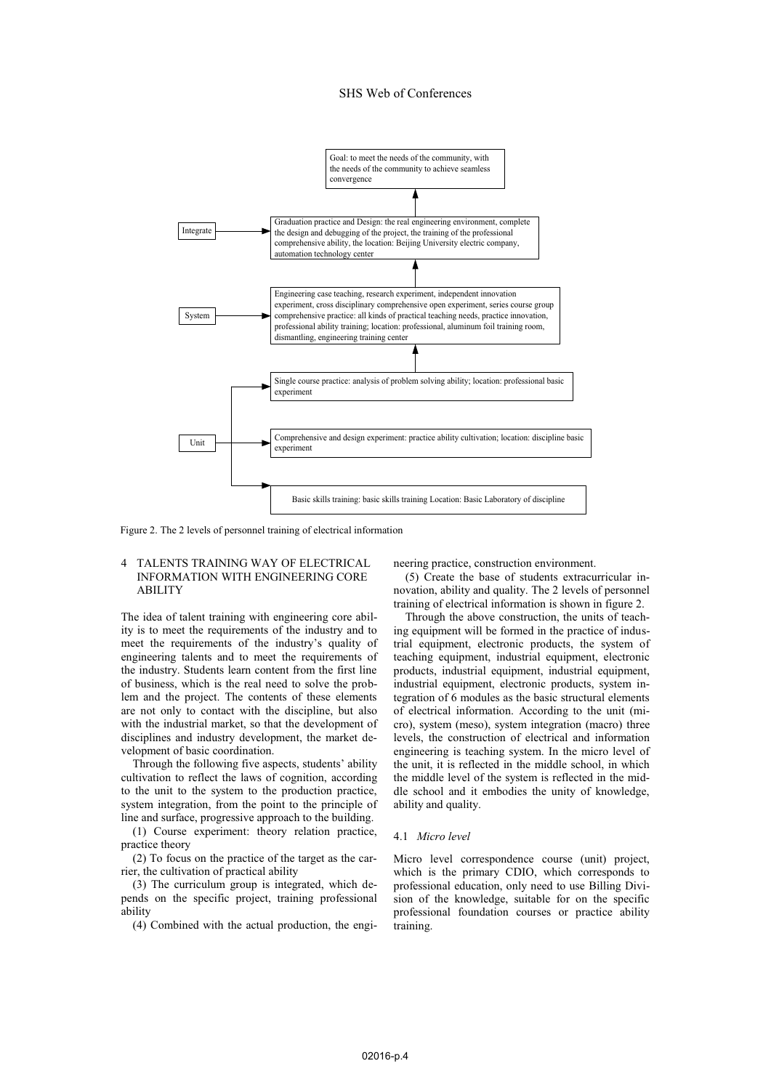#### SHS Web of Conferences



Figure 2. The 2 levels of personnel training of electrical information

# 4 TALENTS TRAINING WAY OF ELECTRICAL INFORMATION WITH ENGINEERING CORE ABILITY

The idea of talent training with engineering core ability is to meet the requirements of the industry and to meet the requirements of the industry's quality of engineering talents and to meet the requirements of the industry. Students learn content from the first line of business, which is the real need to solve the problem and the project. The contents of these elements are not only to contact with the discipline, but also with the industrial market, so that the development of disciplines and industry development, the market development of basic coordination.

Through the following five aspects, students' ability cultivation to reflect the laws of cognition, according to the unit to the system to the production practice, system integration, from the point to the principle of line and surface, progressive approach to the building.

(1) Course experiment: theory relation practice, practice theory

(2) To focus on the practice of the target as the carrier, the cultivation of practical ability

(3) The curriculum group is integrated, which depends on the specific project, training professional ability

(4) Combined with the actual production, the engi-

neering practice, construction environment.

(5) Create the base of students extracurricular innovation, ability and quality. The 2 levels of personnel training of electrical information is shown in figure 2.

Through the above construction, the units of teaching equipment will be formed in the practice of industrial equipment, electronic products, the system of teaching equipment, industrial equipment, electronic products, industrial equipment, industrial equipment, industrial equipment, electronic products, system integration of 6 modules as the basic structural elements of electrical information. According to the unit (micro), system (meso), system integration (macro) three levels, the construction of electrical and information engineering is teaching system. In the micro level of the unit, it is reflected in the middle school, in which the middle level of the system is reflected in the middle school and it embodies the unity of knowledge, ability and quality.

#### 4.1 *Micro level*

Micro level correspondence course (unit) project, which is the primary CDIO, which corresponds to professional education, only need to use Billing Division of the knowledge, suitable for on the specific professional foundation courses or practice ability training.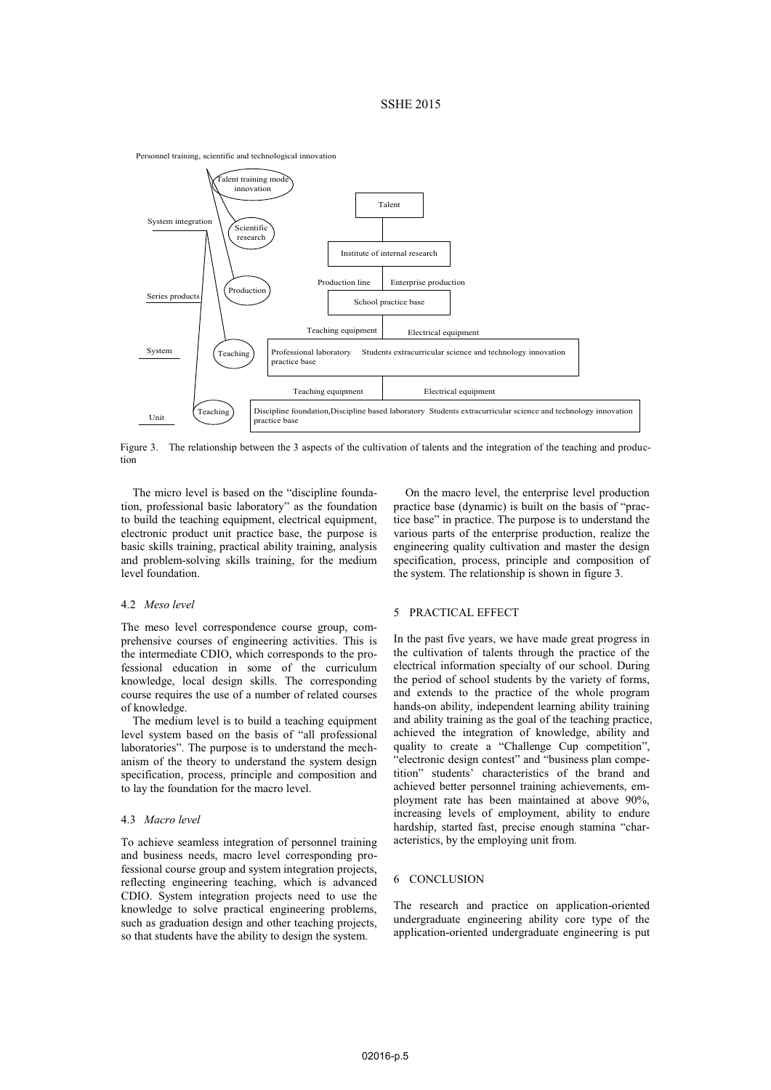# SSHE 2015



Figure 3. The relationship between the 3 aspects of the cultivation of talents and the integration of the teaching and production

The micro level is based on the "discipline foundation, professional basic laboratory" as the foundation to build the teaching equipment, electrical equipment, electronic product unit practice base, the purpose is basic skills training, practical ability training, analysis and problem-solving skills training, for the medium level foundation.

# 4.2 *Meso level*

The meso level correspondence course group, comprehensive courses of engineering activities. This is the intermediate CDIO, which corresponds to the professional education in some of the curriculum knowledge, local design skills. The corresponding course requires the use of a number of related courses of knowledge.

The medium level is to build a teaching equipment level system based on the basis of "all professional laboratories". The purpose is to understand the mechanism of the theory to understand the system design specification, process, principle and composition and to lay the foundation for the macro level.

#### 4.3 *Macro level*

To achieve seamless integration of personnel training and business needs, macro level corresponding professional course group and system integration projects, reflecting engineering teaching, which is advanced CDIO. System integration projects need to use the knowledge to solve practical engineering problems, such as graduation design and other teaching projects, so that students have the ability to design the system.

On the macro level, the enterprise level production practice base (dynamic) is built on the basis of "practice base" in practice. The purpose is to understand the various parts of the enterprise production, realize the engineering quality cultivation and master the design specification, process, principle and composition of the system. The relationship is shown in figure 3.

#### 5 PRACTICAL EFFECT

In the past five years, we have made great progress in the cultivation of talents through the practice of the electrical information specialty of our school. During the period of school students by the variety of forms, and extends to the practice of the whole program hands-on ability, independent learning ability training and ability training as the goal of the teaching practice, achieved the integration of knowledge, ability and quality to create a "Challenge Cup competition", "electronic design contest" and "business plan competition" students' characteristics of the brand and achieved better personnel training achievements, employment rate has been maintained at above 90%, increasing levels of employment, ability to endure hardship, started fast, precise enough stamina "characteristics, by the employing unit from.

# 6 CONCLUSION

The research and practice on application-oriented undergraduate engineering ability core type of the application-oriented undergraduate engineering is put